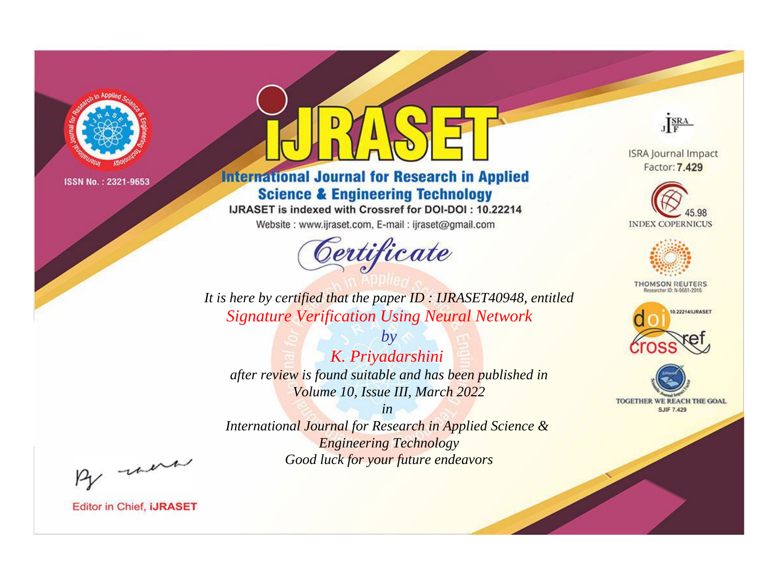

# **International Journal for Research in Applied Science & Engineering Technology**

IJRASET is indexed with Crossref for DOI-DOI: 10.22214

Website: www.ijraset.com, E-mail: ijraset@gmail.com



JERA

**ISRA Journal Impact** Factor: 7.429





**THOMSON REUTERS** 



TOGETHER WE REACH THE GOAL **SJIF 7.429** 

*It is here by certified that the paper ID : IJRASET40948, entitled Signature Verification Using Neural Network*

*by K. Priyadarshini after review is found suitable and has been published in Volume 10, Issue III, March 2022*

*in* 

*International Journal for Research in Applied Science & Engineering Technology Good luck for your future endeavors*

By morn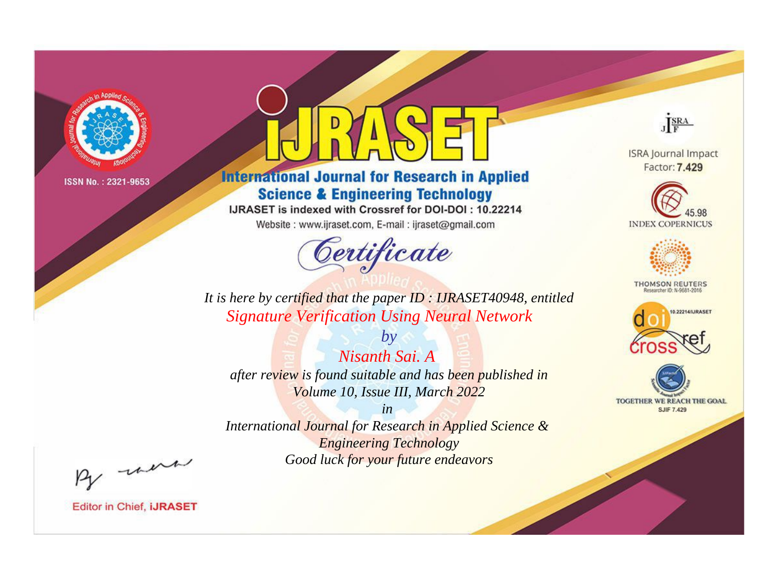

# **International Journal for Research in Applied Science & Engineering Technology**

IJRASET is indexed with Crossref for DOI-DOI: 10.22214

Website: www.ijraset.com, E-mail: ijraset@gmail.com



JERA

**ISRA Journal Impact** Factor: 7.429





**THOMSON REUTERS** 



TOGETHER WE REACH THE GOAL **SJIF 7.429** 

*It is here by certified that the paper ID : IJRASET40948, entitled Signature Verification Using Neural Network*

*Nisanth Sai. A after review is found suitable and has been published in Volume 10, Issue III, March 2022*

*by*

*in* 

*International Journal for Research in Applied Science & Engineering Technology Good luck for your future endeavors*

By morn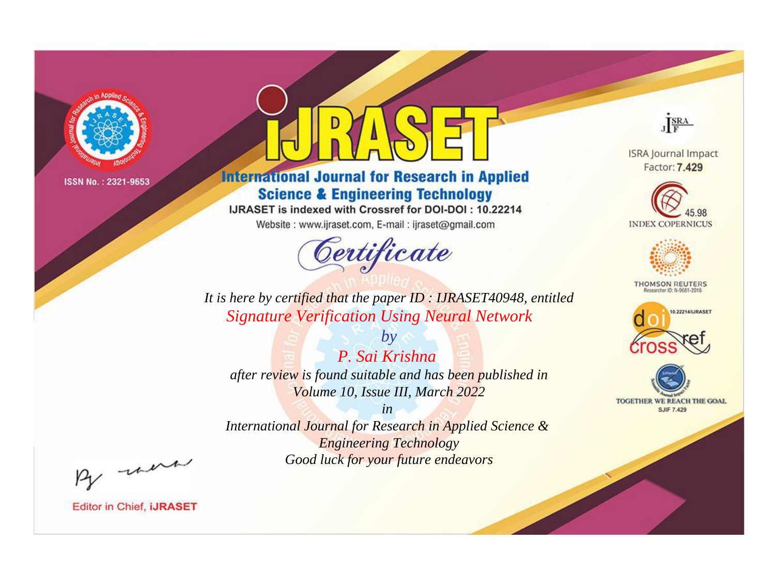

# **International Journal for Research in Applied Science & Engineering Technology**

IJRASET is indexed with Crossref for DOI-DOI: 10.22214

Website: www.ijraset.com, E-mail: ijraset@gmail.com



JERA

**ISRA Journal Impact** Factor: 7.429





**THOMSON REUTERS** 



TOGETHER WE REACH THE GOAL **SJIF 7.429** 

*It is here by certified that the paper ID : IJRASET40948, entitled Signature Verification Using Neural Network*

*P. Sai Krishna after review is found suitable and has been published in Volume 10, Issue III, March 2022*

*by*

*in* 

*International Journal for Research in Applied Science & Engineering Technology Good luck for your future endeavors*

By morn